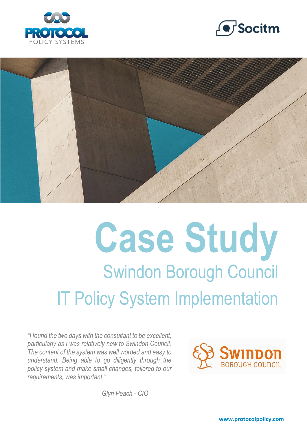





# **Case Study** Swindon Borough Council IT Policy System Implementation

*"I found the two days with the consultant to be excellent, particularly as I was relatively new to Swindon Council. The content of the system was well worded and easy to understand. Being able to go diligently through the policy system and make small changes, tailored to our requirements, was important."*



*Glyn Peach - CIO*